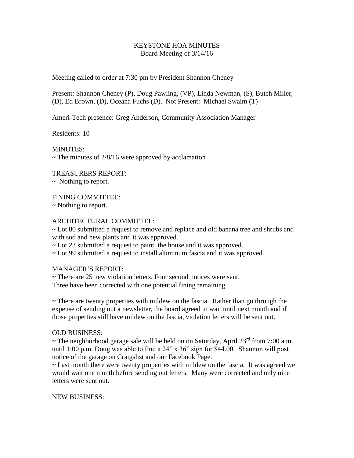## KEYSTONE HOA MINUTES Board Meeting of 3/14/16

Meeting called to order at 7:30 pm by President Shannon Cheney

Present: Shannon Cheney (P), Doug Pawling, (VP), Linda Newman, (S), Butch Miller, (D), Ed Brown, (D), Oceana Fuchs (D). Not Present: Michael Swaim (T)

Ameri-Tech presence: Greg Anderson, Community Association Manager

Residents: 10

MINUTES:  $\sim$  The minutes of 2/8/16 were approved by acclamation

TREASURERS REPORT:

 $\sim$  Nothing to report.

FINING COMMITTEE:

~ Nothing to report.

## ARCHITECTURAL COMMITTEE:

~ Lot 80 submitted a request to remove and replace and old banana tree and shrubs and with sod and new plants and it was approved.

~ Lot 23 submitted a request to paint the house and it was approved.

~ Lot 99 submitted a request to install aluminum fascia and it was approved.

MANAGER'S REPORT:

~ There are 25 new violation letters. Four second notices were sent. Three have been corrected with one potential fining remaining.

 $\sim$  There are twenty properties with mildew on the fascia. Rather than go through the expense of sending out a newsletter, the board agreed to wait until next month and if those properties still have mildew on the fascia, violation letters will be sent out.

## OLD BUSINESS:

 $\sim$  The neighborhood garage sale will be held on on Saturday, April 23<sup>rd</sup> from 7:00 a.m. until 1:00 p.m. Doug was able to find a 24" x 36" sign for \$44.00. Shannon will post notice of the garage on Craigslist and our Facebook Page.

 $\sim$  Last month there were twenty properties with mildew on the fascia. It was agreed we would wait one month before sending out letters. Many were corrected and only nine letters were sent out.

NEW BUSINESS: